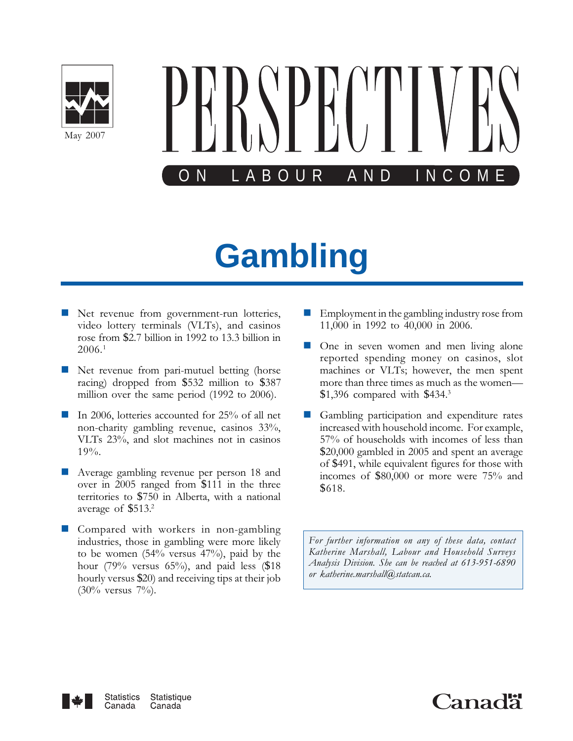



# **Gambling**

- **Net revenue from government-run lotteries,** video lottery terminals (VLTs), and casinos rose from \$2.7 billion in 1992 to 13.3 billion in 2006.<sup>1</sup>
- **Net revenue from pari-mutuel betting (horse** racing) dropped from \$532 million to \$387 million over the same period (1992 to 2006).
- - In 2006, lotteries accounted for 25% of all net non-charity gambling revenue, casinos 33%, VLTs 23%, and slot machines not in casinos 19%.
- - Average gambling revenue per person 18 and over in 2005 ranged from \$111 in the three territories to \$750 in Alberta, with a national average of \$513.<sup>2</sup>
- **Compared with workers in non-gambling** industries, those in gambling were more likely to be women (54% versus 47%), paid by the hour (79% versus 65%), and paid less (\$18) hourly versus \$20) and receiving tips at their job  $(30\% \text{ versus } 7\%)$ .
- - Employment in the gambling industry rose from 11,000 in 1992 to 40,000 in 2006.
- - One in seven women and men living alone reported spending money on casinos, slot machines or VLTs; however, the men spent more than three times as much as the women— \$1,396 compared with \$434.<sup>3</sup>
- - Gambling participation and expenditure rates increased with household income. For example, 57% of households with incomes of less than \$20,000 gambled in 2005 and spent an average of \$491, while equivalent figures for those with incomes of \$80,000 or more were 75% and \$618.

For further information on any of these data, contact Katherine Marshall, Labour and Household Surveys Analysis Division. She can be reached at 613-951-6890 or katherine.marshall@statcan.ca.



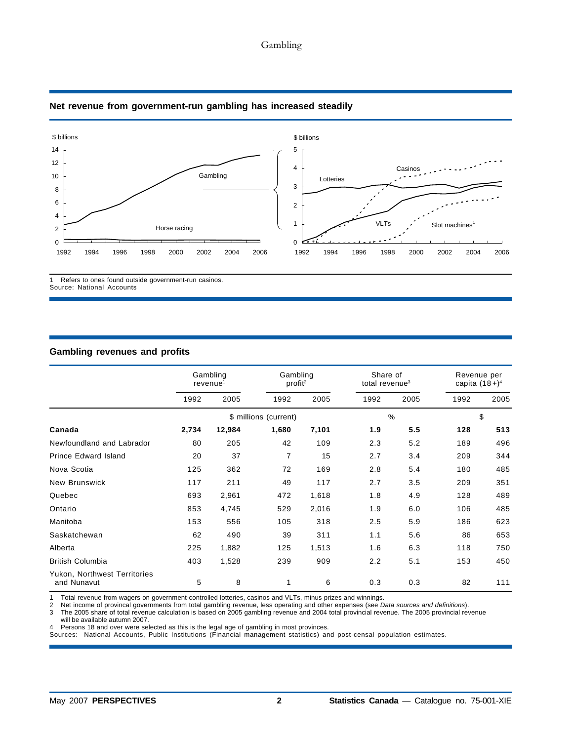# Gambling



# **Net revenue from government-run gambling has increased steadily**

1 Refers to ones found outside government-run casinos. Source: National Accounts

# **Gambling revenues and profits**

|                                             | Gambling<br>revenue <sup>1</sup> |        | Gambling<br>profit <sup>2</sup> |       | Share of<br>total revenue <sup>3</sup> |      | Revenue per<br>capita $(18+)^4$ |      |
|---------------------------------------------|----------------------------------|--------|---------------------------------|-------|----------------------------------------|------|---------------------------------|------|
|                                             | 1992                             | 2005   | 1992                            | 2005  | 1992                                   | 2005 | 1992                            | 2005 |
|                                             |                                  |        | \$ millions (current)           |       |                                        | $\%$ |                                 | \$   |
| Canada                                      | 2,734                            | 12,984 | 1,680                           | 7,101 | 1.9                                    | 5.5  | 128                             | 513  |
| Newfoundland and Labrador                   | 80                               | 205    | 42                              | 109   | 2.3                                    | 5.2  | 189                             | 496  |
| <b>Prince Edward Island</b>                 | 20                               | 37     | 7                               | 15    | 2.7                                    | 3.4  | 209                             | 344  |
| Nova Scotia                                 | 125                              | 362    | 72                              | 169   | 2.8                                    | 5.4  | 180                             | 485  |
| <b>New Brunswick</b>                        | 117                              | 211    | 49                              | 117   | 2.7                                    | 3.5  | 209                             | 351  |
| Quebec                                      | 693                              | 2,961  | 472                             | 1,618 | 1.8                                    | 4.9  | 128                             | 489  |
| Ontario                                     | 853                              | 4,745  | 529                             | 2,016 | 1.9                                    | 6.0  | 106                             | 485  |
| Manitoba                                    | 153                              | 556    | 105                             | 318   | 2.5                                    | 5.9  | 186                             | 623  |
| Saskatchewan                                | 62                               | 490    | 39                              | 311   | 1.1                                    | 5.6  | 86                              | 653  |
| Alberta                                     | 225                              | 1,882  | 125                             | 1,513 | 1.6                                    | 6.3  | 118                             | 750  |
| <b>British Columbia</b>                     | 403                              | 1,528  | 239                             | 909   | 2.2                                    | 5.1  | 153                             | 450  |
| Yukon, Northwest Territories<br>and Nunavut | 5                                | 8      | 1                               | 6     | 0.3                                    | 0.3  | 82                              | 111  |

1 Total revenue from wagers on government-controlled lotteries, casinos and VLTs, minus prizes and winnings.<br>2 Net income of provincal governments from total gambling revenue, less operating and other expenses (see D

2 Net income of provincal governments from total gambling revenue, less operating and other expenses (see *Data sources and definitions*).

3 The 2005 share of total revenue calculation is based on 2005 gambling revenue and 2004 total provincial revenue. The 2005 provincial revenue

will be available autumn 2007.

4 Persons 18 and over were selected as this is the legal age of gambling in most provinces.

Sources: National Accounts, Public Institutions (Financial management statistics) and post-censal population estimates.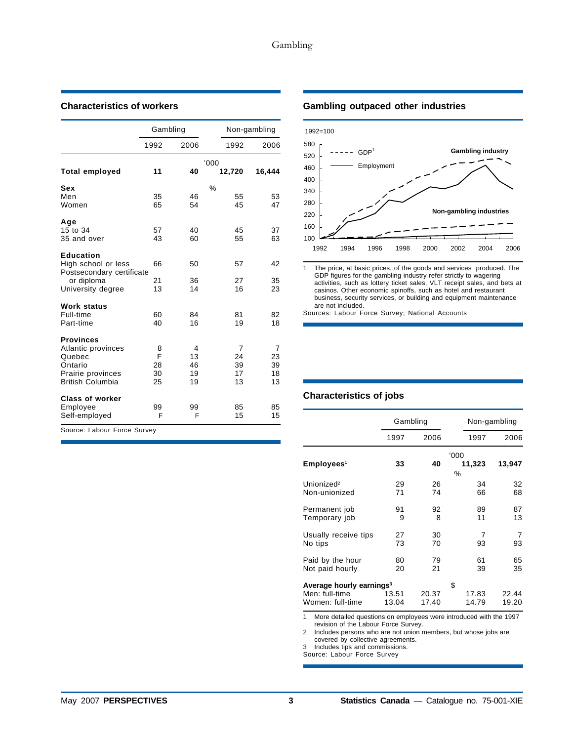|                                                  | Gambling |      |        | Non-gambling |
|--------------------------------------------------|----------|------|--------|--------------|
|                                                  | 1992     | 2006 | 1992   | 2006         |
|                                                  | 11       | 40   | '000'  |              |
| <b>Total employed</b>                            |          |      | 12,720 | 16,444       |
| Sex                                              |          |      | %      |              |
| Men                                              | 35       | 46   | 55     | 53           |
| Women                                            | 65       | 54   | 45     | 47           |
| Age                                              |          |      |        |              |
| 15 to 34                                         | 57       | 40   | 45     | 37           |
| 35 and over                                      | 43       | 60   | 55     | 63           |
| <b>Education</b>                                 |          |      |        |              |
| High school or less<br>Postsecondary certificate | 66       | 50   | 57     | 42           |
| or diploma                                       | 21       | 36   | 27     | 35           |
| University degree                                | 13       | 14   | 16     | 23           |
| <b>Work status</b>                               |          |      |        |              |
| Full-time                                        | 60       | 84   | 81     | 82           |
| Part-time                                        | 40       | 16   | 19     | 18           |
| <b>Provinces</b>                                 |          |      |        |              |
| Atlantic provinces                               | 8        | 4    | 7      | 7            |
| Quebec                                           | F        | 13   | 24     | 23           |
| Ontario                                          | 28       | 46   | 39     | 39           |
| Prairie provinces                                | 30       | 19   | 17     | 18           |
| <b>British Columbia</b>                          | 25       | 19   | 13     | 13           |
| <b>Class of worker</b>                           |          |      |        |              |
| Employee                                         | 99       | 99   | 85     | 85           |
| Self-employed                                    | F        | F    | 15     | 15           |
| Source: Labour Force Survey                      |          |      |        |              |

# **Characteristics of workers Gambling outpaced other industries**



activities, such as lottery ticket sales, VLT receipt sales, and bets at casinos. Other economic spinoffs, such as hotel and restaurant business, security services, or building and equipment maintenance are not included.

Sources: Labour Force Survey; National Accounts

# **Characteristics of jobs**

|                                                                            | Gambling       |                |                      | Non-gambling   |
|----------------------------------------------------------------------------|----------------|----------------|----------------------|----------------|
|                                                                            | 1997           | 2006           | 1997                 | 2006           |
| Employees <sup>1</sup>                                                     | 33             | 40             | '000<br>11,323<br>%  | 13,947         |
| Unionized <sup>2</sup>                                                     | 29             | 26             | 34                   | 32             |
| Non-unionized                                                              | 71             | 74             | 66                   | 68             |
| Permanent job                                                              | 91             | 92             | 89                   | 87             |
| Temporary job                                                              | 9              | 8              | 11                   | 13             |
| Usually receive tips                                                       | 27             | 30             | 7                    | 7              |
| No tips                                                                    | 73             | 70             | 93                   | 93             |
| Paid by the hour                                                           | 80             | 79             | 61                   | 65             |
| Not paid hourly                                                            | 20             | 21             | 39                   | 35             |
| Average hourly earnings <sup>3</sup><br>Men: full-time<br>Women: full-time | 13.51<br>13.04 | 20.37<br>17.40 | \$<br>17.83<br>14.79 | 22.44<br>19.20 |

1 More detailed questions on employees were introduced with the 1997 revision of the Labour Force Survey.

2 Includes persons who are not union members, but whose jobs are covered by collective agreements.

3 Includes tips and commissions.

Source: Labour Force Survey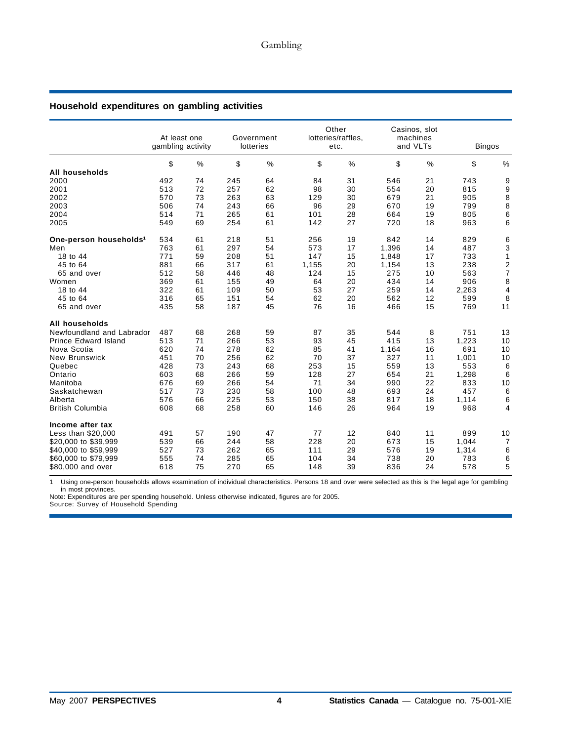# **Household expenditures on gambling activities**

|                                    | At least one<br>gambling activity |               |     | Government<br>lotteries |       | Other<br>lotteries/raffles,<br>etc. |       | Casinos, slot<br>machines<br>and VLTs | <b>Bingos</b> |                           |
|------------------------------------|-----------------------------------|---------------|-----|-------------------------|-------|-------------------------------------|-------|---------------------------------------|---------------|---------------------------|
|                                    | \$                                | $\frac{0}{0}$ | \$  | $\%$                    | \$    | %                                   | \$    | %                                     | \$            | %                         |
| All households                     |                                   |               |     |                         |       |                                     |       |                                       |               |                           |
| 2000                               | 492                               | 74            | 245 | 64                      | 84    | 31                                  | 546   | 21                                    | 743           | 9                         |
| 2001                               | 513                               | 72            | 257 | 62                      | 98    | 30                                  | 554   | 20                                    | 815           | 9                         |
| 2002                               | 570                               | 73            | 263 | 63                      | 129   | 30                                  | 679   | 21                                    | 905           | 8                         |
| 2003                               | 506                               | 74            | 243 | 66                      | 96    | 29                                  | 670   | 19                                    | 799           | 8                         |
| 2004                               | 514                               | 71            | 265 | 61                      | 101   | 28                                  | 664   | 19                                    | 805           | 6                         |
| 2005                               | 549                               | 69            | 254 | 61                      | 142   | 27                                  | 720   | 18                                    | 963           | 6                         |
| One-person households <sup>1</sup> | 534                               | 61            | 218 | 51                      | 256   | 19                                  | 842   | 14                                    | 829           | 6                         |
| Men                                | 763                               | 61            | 297 | 54                      | 573   | 17                                  | 1,396 | 14                                    | 487           | $\ensuremath{\mathsf{3}}$ |
| 18 to 44                           | 771                               | 59            | 208 | 51                      | 147   | 15                                  | 1,848 | 17                                    | 733           | $\mathbf{1}$              |
| 45 to 64                           | 881                               | 66            | 317 | 61                      | 1,155 | 20                                  | 1,154 | 13                                    | 238           |                           |
| 65 and over                        | 512                               | 58            | 446 | 48                      | 124   | 15                                  | 275   | 10                                    | 563           | $\frac{2}{7}$             |
| Women                              | 369                               | 61            | 155 | 49                      | 64    | 20                                  | 434   | 14                                    | 906           | 8                         |
| 18 to 44                           | 322                               | 61            | 109 | 50                      | 53    | 27                                  | 259   | 14                                    | 2,263         | $\overline{\mathbf{4}}$   |
| 45 to 64                           | 316                               | 65            | 151 | 54                      | 62    | 20                                  | 562   | 12                                    | 599           | 8                         |
| 65 and over                        | 435                               | 58            | 187 | 45                      | 76    | 16                                  | 466   | 15                                    | 769           | 11                        |
| All households                     |                                   |               |     |                         |       |                                     |       |                                       |               |                           |
| Newfoundland and Labrador          | 487                               | 68            | 268 | 59                      | 87    | 35                                  | 544   | 8                                     | 751           | 13                        |
| <b>Prince Edward Island</b>        | 513                               | 71            | 266 | 53                      | 93    | 45                                  | 415   | 13                                    | 1,223         | 10                        |
| Nova Scotia                        | 620                               | 74            | 278 | 62                      | 85    | 41                                  | 1,164 | 16                                    | 691           | 10                        |
| <b>New Brunswick</b>               | 451                               | 70            | 256 | 62                      | 70    | 37                                  | 327   | 11                                    | 1,001         | 10                        |
| Quebec                             | 428                               | 73            | 243 | 68                      | 253   | 15                                  | 559   | 13                                    | 553           | 6                         |
| Ontario                            | 603                               | 68            | 266 | 59                      | 128   | 27                                  | 654   | 21                                    | 1,298         | 6                         |
| Manitoba                           | 676                               | 69            | 266 | 54                      | 71    | 34                                  | 990   | 22                                    | 833           | 10                        |
| Saskatchewan                       | 517                               | 73            | 230 | 58                      | 100   | 48                                  | 693   | 24                                    | 457           | 6                         |
| Alberta                            | 576                               | 66            | 225 | 53                      | 150   | 38                                  | 817   | 18                                    | 1,114         | 6                         |
| <b>British Columbia</b>            | 608                               | 68            | 258 | 60                      | 146   | 26                                  | 964   | 19                                    | 968           | $\overline{4}$            |
| Income after tax                   |                                   |               |     |                         |       |                                     |       |                                       |               |                           |
| Less than \$20,000                 | 491                               | 57            | 190 | 47                      | 77    | 12                                  | 840   | 11                                    | 899           | 10                        |
| \$20,000 to \$39,999               | 539                               | 66            | 244 | 58                      | 228   | 20                                  | 673   | 15                                    | 1,044         | $\overline{7}$            |
| \$40,000 to \$59,999               | 527                               | 73            | 262 | 65                      | 111   | 29                                  | 576   | 19                                    | 1,314         | 6                         |
| \$60,000 to \$79,999               | 555                               | 74            | 285 | 65                      | 104   | 34                                  | 738   | 20                                    | 783           | 6                         |
| \$80,000 and over                  | 618                               | 75            | 270 | 65                      | 148   | 39                                  | 836   | 24                                    | 578           | 5                         |
|                                    |                                   |               |     |                         |       |                                     |       |                                       |               |                           |

1 Using one-person households allows examination of individual characteristics. Persons 18 and over were selected as this is the legal age for gambling in most provinces.

Note: Expenditures are per spending household. Unless otherwise indicated, figures are for 2005.

Source: Survey of Household Spending